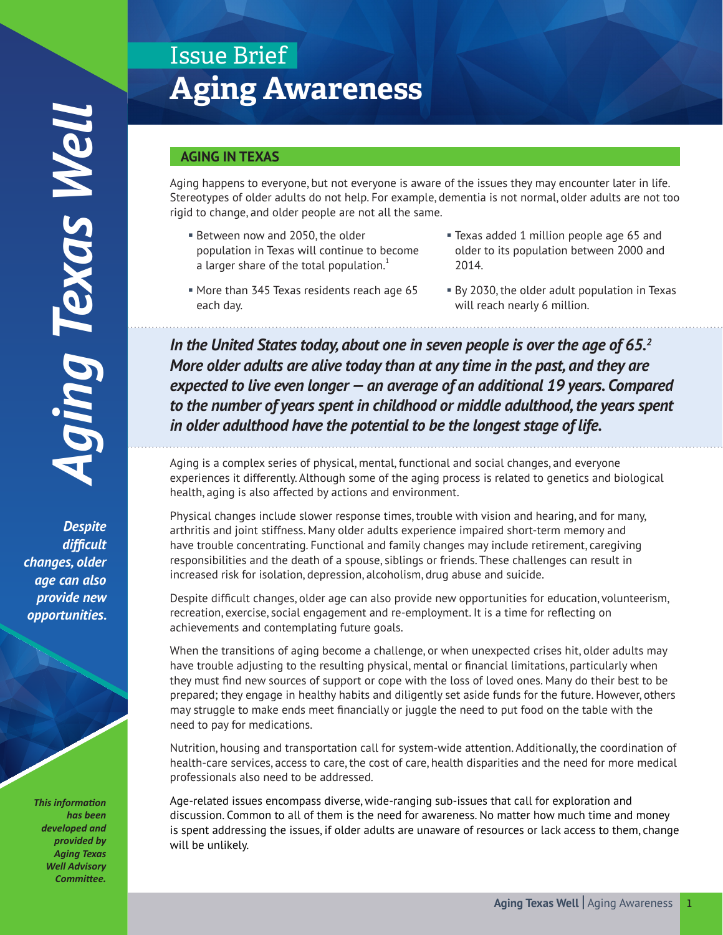*Despite difficult changes, older age can also provide new opportunities.*

> *This information has been developed and provided by Aging Texas Well Advisory*  Committee.

# Issue Brief **Aging Awareness**

# **AGING IN TEXAS**

Aging happens to everyone, but not everyone is aware of the issues they may encounter later in life. Stereotypes of older adults do not help. For example, dementia is not normal, older adults are not too rigid to change, and older people are not all the same.

- Between now and 2050, the older population in Texas will continue to become a larger share of the total population. $1$
- § Texas added 1 million people age 65 and older to its population between 2000 and 2014.
- § More than 345 Texas residents reach age 65 each day.
- § By 2030, the older adult population in Texas will reach nearly 6 million.

*In the United States today, about one in seven people is over the age of 65.2 More older adults are alive today than at any time in the past, and they are expected to live even longer — an average of an additional 19 years. Compared to the number of years spent in childhood or middle adulthood, the years spent in older adulthood have the potential to be the longest stage of life.*

Aging is a complex series of physical, mental, functional and social changes, and everyone experiences it differently. Although some of the aging process is related to genetics and biological health, aging is also affected by actions and environment.

Physical changes include slower response times, trouble with vision and hearing, and for many, arthritis and joint stiffness. Many older adults experience impaired short-term memory and have trouble concentrating. Functional and family changes may include retirement, caregiving responsibilities and the death of a spouse, siblings or friends. These challenges can result in increased risk for isolation, depression, alcoholism, drug abuse and suicide.

Despite difficult changes, older age can also provide new opportunities for education, volunteerism, recreation, exercise, social engagement and re-employment. It is a time for reflecting on achievements and contemplating future goals.

When the transitions of aging become a challenge, or when unexpected crises hit, older adults may have trouble adjusting to the resulting physical, mental or financial limitations, particularly when they must find new sources of support or cope with the loss of loved ones. Many do their best to be prepared; they engage in healthy habits and diligently set aside funds for the future. However, others may struggle to make ends meet financially or juggle the need to put food on the table with the need to pay for medications.

Nutrition, housing and transportation call for system-wide attention. Additionally, the coordination of health-care services, access to care, the cost of care, health disparities and the need for more medical professionals also need to be addressed.

Age-related issues encompass diverse, wide-ranging sub-issues that call for exploration and discussion. Common to all of them is the need for awareness. No matter how much time and money is spent addressing the issues, if older adults are unaware of resources or lack access to them, change will be unlikely.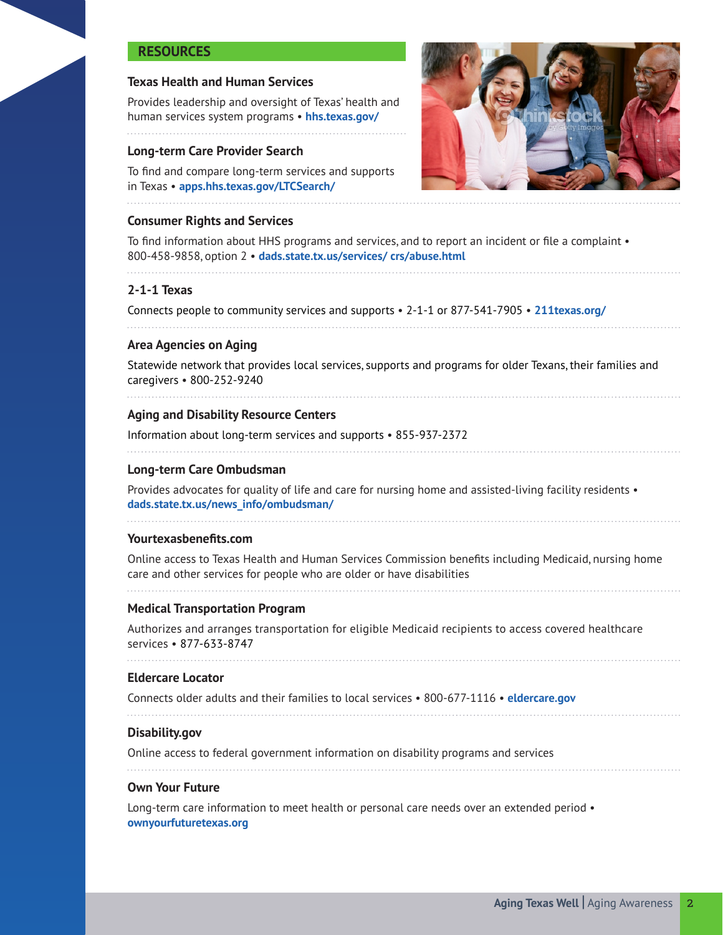# **RESOURCES**

#### **Texas Health and Human Services**

Provides leadership and oversight of Texas' health and human services system programs • **hhs.texas.gov/**

#### **Long-term Care Provider Search**

To find and compare long-term services and supports in Texas • **apps.hhs.texas.gov/LTCSearch/**



#### **Consumer Rights and Services**

To find information about HHS programs and services, and to report an incident or file a complaint • 800-458-9858, option 2 • **dads.state.tx.us/services/ crs/abuse.html**

# **2-1-1 Texas**

Connects people to community services and supports • 2-1-1 or 877-541-7905 • **211texas.org/**

#### **Area Agencies on Aging**

Statewide network that provides local services, supports and programs for older Texans, their families and caregivers • 800-252-9240

# **Aging and Disability Resource Centers**

Information about long-term services and supports • 855-937-2372

#### **Long-term Care Ombudsman**

Provides advocates for quality of life and care for nursing home and assisted-living facility residents • **dads.state.tx.us/news\_info/ombudsman/**

#### **Yourtexasbenefits.com**

Online access to Texas Health and Human Services Commission benefits including Medicaid, nursing home care and other services for people who are older or have disabilities

#### **Medical Transportation Program**

Authorizes and arranges transportation for eligible Medicaid recipients to access covered healthcare services • 877-633-8747

#### **Eldercare Locator**

Connects older adults and their families to local services • 800-677-1116 • **eldercare.gov**

# **Disability.gov**

Online access to federal government information on disability programs and services

#### **Own Your Future**

Long-term care information to meet health or personal care needs over an extended period • **ownyourfuturetexas.org**